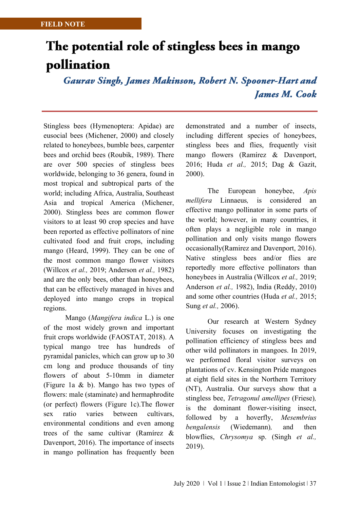## The potential role of stingless bees in mango pollination

**Gaurav Singh, James Makinson, Robert N. Spooner-Hart and James M. Cook** 

Stingless bees (Hymenoptera: Apidae) are eusocial bees (Michener, 2000) and closely related to honeybees, bumble bees, carpenter bees and orchid bees (Roubik, 1989). There are over 500 species of stingless bees worldwide, belonging to 36 genera, found in most tropical and subtropical parts of the world; including Africa, Australia, Southeast Asia and tropical America (Michener, 2000). Stingless bees are common flower visitors to at least 90 crop species and have been reported as effective pollinators of nine cultivated food and fruit crops, including mango (Heard, 1999). They can be one of the most common mango flower visitors (Willcox *et al.,* 2019; Anderson *et al.,* 1982) and are the only bees, other than honeybees, that can be effectively managed in hives and deployed into mango crops in tropical regions.

Mango (*Mangifera indica* L.) is one of the most widely grown and important fruit crops worldwide (FAOSTAT, 2018). A typical mango tree has hundreds of pyramidal panicles, which can grow up to 30 cm long and produce thousands of tiny flowers of about 5-10mm in diameter (Figure 1a & b). Mango has two types of flowers: male (staminate) and hermaphrodite (or perfect) flowers (Figure 1c).The flower sex ratio varies between cultivars, environmental conditions and even among trees of the same cultivar (Ramírez & Davenport, 2016). The importance of insects in mango pollination has frequently been

demonstrated and a number of insects, including different species of honeybees, stingless bees and flies, frequently visit mango flowers (Ramírez & Davenport, 2016; Huda *et al.,* 2015; Dag & Gazit, 2000).

The European honeybee, *Apis mellifera* Linnaeus*,* is considered an effective mango pollinator in some parts of the world; however, in many countries, it often plays a negligible role in mango pollination and only visits mango flowers occasionally(Ramirez and Davenport, 2016). Native stingless bees and/or flies are reportedly more effective pollinators than honeybees in Australia (Willcox *et al.,* 2019; Anderson *et al.,* 1982), India (Reddy, 2010) and some other countries (Huda *et al.,* 2015; Sung *et al.,* 2006).

Our research at Western Sydney University focuses on investigating the pollination efficiency of stingless bees and other wild pollinators in mangoes. In 2019, we performed floral visitor surveys on plantations of cv. Kensington Pride mangoes at eight field sites in the Northern Territory (NT), Australia. Our surveys show that a stingless bee, *Tetragonul amellipes* (Friese)*,* is the dominant flower-visiting insect, followed by a hoverfly, *Mesembrius bengalensis* (Wiedemann)*,* and then blowflies, *Chrysomya* sp. (Singh *et al.,*  2019).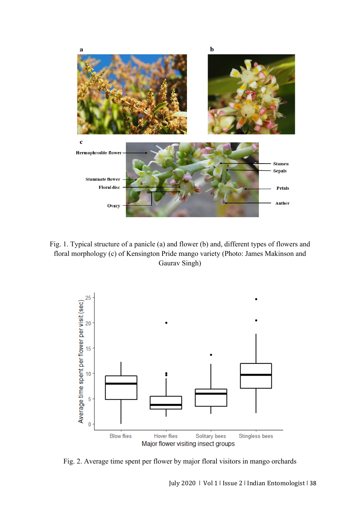

Fig. 1. Typical structure of a panicle (a) and flower (b) and, different types of flowers and floral morphology (c) of Kensington Pride mango variety (Photo: James Makinson and Gaurav Singh)



Fig. 2. Average time spent per flower by major floral visitors in mango orchards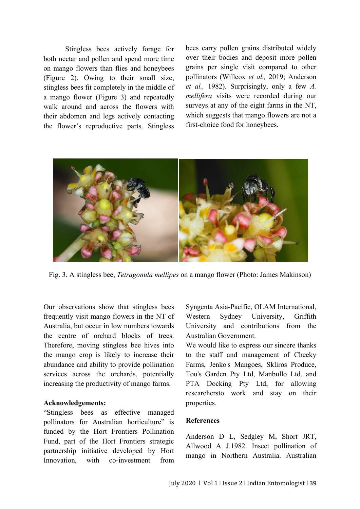Stingless bees actively forage for both nectar and pollen and spend more time on mango flowers than flies and honeybees (Figure 2). Owing to their small size, stingless bees fit completely in the middle of a mango flower (Figure 3) and repeatedly walk around and across the flowers with their abdomen and legs actively contacting the flower's reproductive parts. Stingless bees carry pollen grains distributed widely over their bodies and deposit more pollen grains per single visit compared to other pollinators (Willcox *et al.,* 2019; Anderson *et al.,* 1982). Surprisingly, only a few *A. mellifera* visits were recorded during our surveys at any of the eight farms in the NT, which suggests that mango flowers are not a first-choice food for honeybees.



Fig. 3. A stingless bee, *Tetragonula mellipes* on a mango flower (Photo: James Makinson)

Our observations show that stingless bees frequently visit mango flowers in the NT of Australia, but occur in low numbers towards the centre of orchard blocks of trees. Therefore, moving stingless bee hives into the mango crop is likely to increase their abundance and ability to provide pollination services across the orchards, potentially increasing the productivity of mango farms.

## **Acknowledgements:**

"Stingless bees as effective managed pollinators for Australian horticulture" is funded by the Hort Frontiers Pollination Fund, part of the Hort Frontiers strategic partnership initiative developed by Hort Innovation, with co-investment from

Syngenta Asia-Pacific, OLAM International, Western Sydney University, Griffith University and contributions from the Australian Government.

We would like to express our sincere thanks to the staff and management of Cheeky Farms, Jenko's Mangoes, Skliros Produce, Tou's Garden Pty Ltd, Manbullo Ltd, and PTA Docking Pty Ltd, for allowing researchersto work and stay on their properties.

## **References**

Anderson D L, Sedgley M, Short JRT, Allwood A J.1982. Insect pollination of mango in Northern Australia. Australian